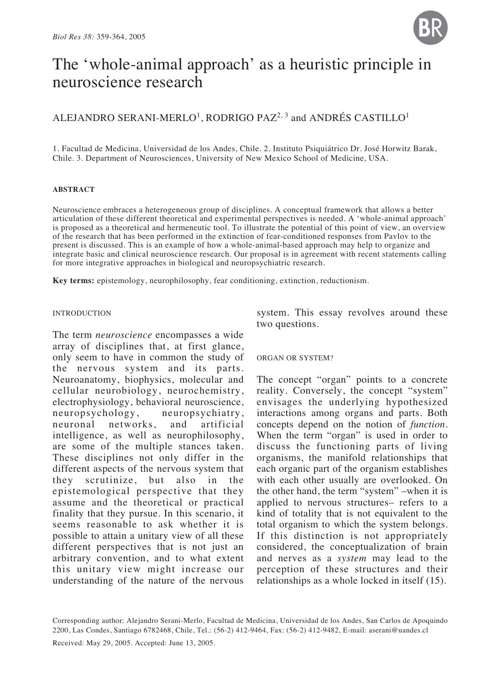# The 'whole-animal approach' as a heuristic principle in neuroscience research

## ALEJANDRO SERANI-MERLO<sup>1</sup>, RODRIGO PAZ<sup>2, 3</sup> and ANDRÉS CASTILLO<sup>1</sup>

1. Facultad de Medicina, Universidad de los Andes, Chile. 2. Instituto Psiquiátrico Dr. José Horwitz Barak, Chile. 3. Department of Neurosciences, University of New Mexico School of Medicine, USA.

## **ABSTRACT**

Neuroscience embraces a heterogeneous group of disciplines. A conceptual framework that allows a better articulation of these different theoretical and experimental perspectives is needed. A 'whole-animal approach' is proposed as a theoretical and hermeneutic tool. To illustrate the potential of this point of view, an overview of the research that has been performed in the extinction of fear-conditioned responses from Pavlov to the present is discussed. This is an example of how a whole-animal-based approach may help to organize and integrate basic and clinical neuroscience research. Our proposal is in agreement with recent statements calling for more integrative approaches in biological and neuropsychiatric research.

**Key terms:** epistemology, neurophilosophy, fear conditioning, extinction, reductionism.

## INTRODUCTION

The term *neuroscience* encompasses a wide array of disciplines that, at first glance, only seem to have in common the study of the nervous system and its parts. Neuroanatomy, biophysics, molecular and cellular neurobiology, neurochemistry, electrophysiology, behavioral neuroscience, neuropsychology, neuropsychiatry, neuronal networks, and artificial intelligence, as well as neurophilosophy, are some of the multiple stances taken. These disciplines not only differ in the different aspects of the nervous system that they scrutinize, but also in the epistemological perspective that they assume and the theoretical or practical finality that they pursue. In this scenario, it seems reasonable to ask whether it is possible to attain a unitary view of all these different perspectives that is not just an arbitrary convention, and to what extent this unitary view might increase our understanding of the nature of the nervous

system. This essay revolves around these two questions.

ORGAN OR SYSTEM?

The concept "organ" points to a concrete reality. Conversely, the concept "system" envisages the underlying hypothesized interactions among organs and parts. Both concepts depend on the notion of *function*. When the term "organ" is used in order to discuss the functioning parts of living organisms, the manifold relationships that each organic part of the organism establishes with each other usually are overlooked. On the other hand, the term "system" –when it is applied to nervous structures– refers to a kind of totality that is not equivalent to the total organism to which the system belongs. If this distinction is not appropriately considered, the conceptualization of brain and nerves as a *system* may lead to the perception of these structures and their relationships as a whole locked in itself (15).

Corresponding author: Alejandro Serani-Merlo, Facultad de Medicina, Universidad de los Andes, San Carlos de Apoquindo 2200, Las Condes, Santiago 6782468, Chile, Tel.: (56-2) 412-9464, Fax: (56-2) 412-9482, E-mail: aserani@uandes.cl

Received: May 29, 2005. Accepted: June 13, 2005.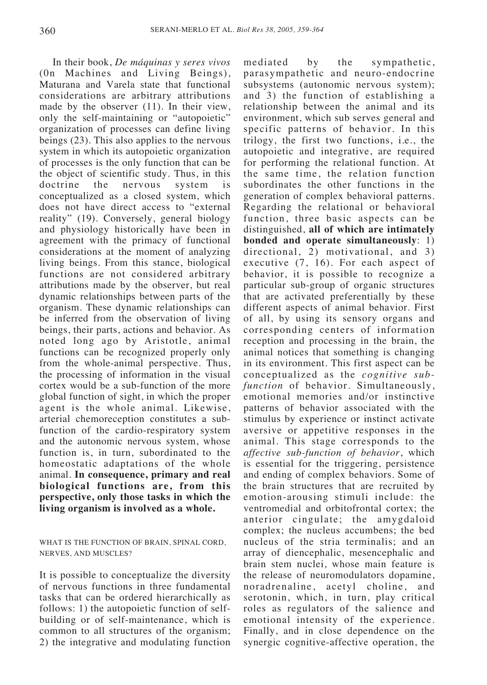In their book, *De máquinas y seres vivos* (0n Machines and Living Beings), Maturana and Varela state that functional considerations are arbitrary attributions made by the observer (11). In their view, only the self-maintaining or "autopoietic" organization of processes can define living beings (23). This also applies to the nervous system in which its autopoietic organization of processes is the only function that can be the object of scientific study. Thus, in this doctrine the nervous system is conceptualized as a closed system, which does not have direct access to "external reality" (19). Conversely, general biology and physiology historically have been in agreement with the primacy of functional considerations at the moment of analyzing living beings. From this stance, biological functions are not considered arbitrary attributions made by the observer, but real dynamic relationships between parts of the organism. These dynamic relationships can be inferred from the observation of living beings, their parts, actions and behavior. As noted long ago by Aristotle, animal functions can be recognized properly only from the whole-animal perspective. Thus, the processing of information in the visual cortex would be a sub-function of the more global function of sight, in which the proper agent is the whole animal. Likewise, arterial chemoreception constitutes a subfunction of the cardio-respiratory system and the autonomic nervous system, whose function is, in turn, subordinated to the homeostatic adaptations of the whole animal. **In consequence, primary and real biological functions are, from this perspective, only those tasks in which the living organism is involved as a whole.**

WHAT IS THE FUNCTION OF BRAIN, SPINAL CORD, NERVES, AND MUSCLES?

It is possible to conceptualize the diversity of nervous functions in three fundamental tasks that can be ordered hierarchically as follows: 1) the autopoietic function of selfbuilding or of self-maintenance, which is common to all structures of the organism; 2) the integrative and modulating function mediated by the sympathetic, parasympathetic and neuro-endocrine subsystems (autonomic nervous system); and 3) the function of establishing a relationship between the animal and its environment, which sub serves general and specific patterns of behavior. In this trilogy, the first two functions, i.e., the autopoietic and integrative, are required for performing the relational function. At the same time, the relation function subordinates the other functions in the generation of complex behavioral patterns. Regarding the relational or behavioral function, three basic aspects can be distinguished, **all of which are intimately bonded and operate simultaneously**: 1) directional, 2) motivational, and 3) executive (7, 16). For each aspect of behavior, it is possible to recognize a particular sub-group of organic structures that are activated preferentially by these different aspects of animal behavior. First of all, by using its sensory organs and corresponding centers of information reception and processing in the brain, the animal notices that something is changing in its environment. This first aspect can be conceptualized as the *cognitive subfunction* of behavior. Simultaneously, emotional memories and/or instinctive patterns of behavior associated with the stimulus by experience or instinct activate aversive or appetitive responses in the animal. This stage corresponds to the *affective sub-function of behavior*, which is essential for the triggering, persistence and ending of complex behaviors. Some of the brain structures that are recruited by emotion-arousing stimuli include: the ventromedial and orbitofrontal cortex; the anterior cingulate; the amygdaloid complex; the nucleus accumbens; the bed nucleus of the stria terminalis; and an array of diencephalic, mesencephalic and brain stem nuclei, whose main feature is the release of neuromodulators dopamine, noradrenaline, acetyl choline, and serotonin, which, in turn, play critical roles as regulators of the salience and emotional intensity of the experience. Finally, and in close dependence on the synergic cognitive-affective operation, the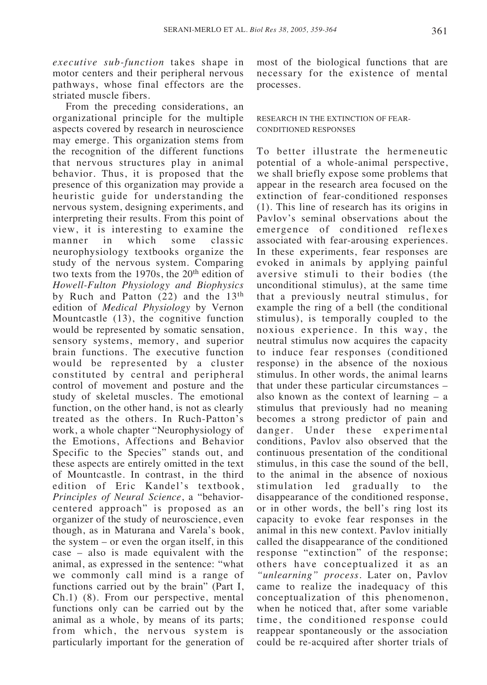*executive sub-function* takes shape in motor centers and their peripheral nervous pathways, whose final effectors are the striated muscle fibers.

From the preceding considerations, an organizational principle for the multiple aspects covered by research in neuroscience may emerge. This organization stems from the recognition of the different functions that nervous structures play in animal behavior. Thus, it is proposed that the presence of this organization may provide a heuristic guide for understanding the nervous system, designing experiments, and interpreting their results. From this point of view, it is interesting to examine the manner in which some classic neurophysiology textbooks organize the study of the nervous system. Comparing two texts from the 1970s, the  $20<sup>th</sup>$  edition of *Howell-Fulton Physiology and Biophysics* by Ruch and Patton (22) and the 13<sup>th</sup> edition of *Medical Physiology* by Vernon Mountcastle (13), the cognitive function would be represented by somatic sensation, sensory systems, memory, and superior brain functions. The executive function would be represented by a cluster constituted by central and peripheral control of movement and posture and the study of skeletal muscles. The emotional function, on the other hand, is not as clearly treated as the others. In Ruch-Patton's work, a whole chapter "Neurophysiology of the Emotions, Affections and Behavior Specific to the Species" stands out, and these aspects are entirely omitted in the text of Mountcastle. In contrast, in the third edition of Eric Kandel's textbook, *Principles of Neural Science*, a "behaviorcentered approach" is proposed as an organizer of the study of neuroscience, even though, as in Maturana and Varela's book, the system – or even the organ itself, in this case – also is made equivalent with the animal, as expressed in the sentence: "what we commonly call mind is a range of functions carried out by the brain" (Part I, Ch.1) (8). From our perspective, mental functions only can be carried out by the animal as a whole, by means of its parts; from which, the nervous system is particularly important for the generation of most of the biological functions that are necessary for the existence of mental processes.

RESEARCH IN THE EXTINCTION OF FEAR-CONDITIONED RESPONSES

To better illustrate the hermeneutic potential of a whole-animal perspective, we shall briefly expose some problems that appear in the research area focused on the extinction of fear-conditioned responses (1). This line of research has its origins in Pavlov's seminal observations about the emergence of conditioned reflexes associated with fear-arousing experiences. In these experiments, fear responses are evoked in animals by applying painful aversive stimuli to their bodies (the unconditional stimulus), at the same time that a previously neutral stimulus, for example the ring of a bell (the conditional stimulus), is temporally coupled to the noxious experience. In this way, the neutral stimulus now acquires the capacity to induce fear responses (conditioned response) in the absence of the noxious stimulus. In other words, the animal learns that under these particular circumstances – also known as the context of learning – a stimulus that previously had no meaning becomes a strong predictor of pain and danger. Under these experimental conditions, Pavlov also observed that the continuous presentation of the conditional stimulus, in this case the sound of the bell, to the animal in the absence of noxious stimulation led gradually to the disappearance of the conditioned response, or in other words, the bell's ring lost its capacity to evoke fear responses in the animal in this new context. Pavlov initially called the disappearance of the conditioned response "extinction" of the response; others have conceptualized it as an *"unlearning" process*. Later on, Pavlov came to realize the inadequacy of this conceptualization of this phenomenon, when he noticed that, after some variable time, the conditioned response could reappear spontaneously or the association could be re-acquired after shorter trials of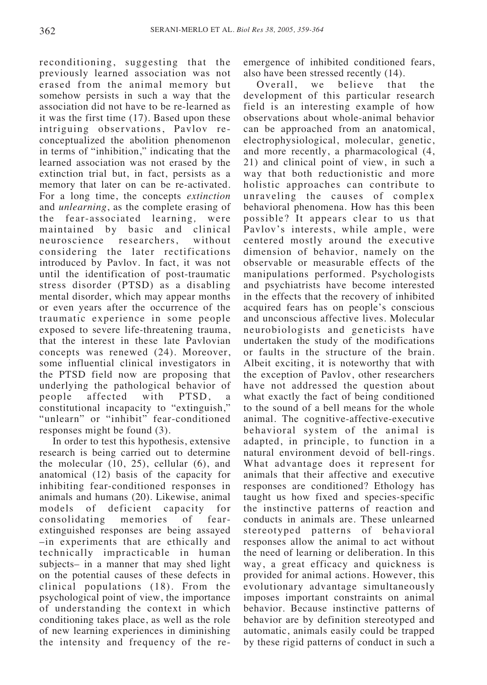reconditioning, suggesting that the previously learned association was not erased from the animal memory but somehow persists in such a way that the association did not have to be re-learned as it was the first time (17). Based upon these intriguing observations, Pavlov reconceptualized the abolition phenomenon in terms of "inhibition," indicating that the learned association was not erased by the extinction trial but, in fact, persists as a memory that later on can be re-activated. For a long time, the concepts *extinction* and *unlearning*, as the complete erasing of the fear-associated learning*,* were maintained by basic and clinical neuroscience researchers, without considering the later rectifications introduced by Pavlov. In fact, it was not until the identification of post-traumatic stress disorder (PTSD) as a disabling mental disorder, which may appear months or even years after the occurrence of the traumatic experience in some people exposed to severe life-threatening trauma, that the interest in these late Pavlovian concepts was renewed (24). Moreover, some influential clinical investigators in the PTSD field now are proposing that underlying the pathological behavior of people affected with PTSD, a constitutional incapacity to "extinguish," "unlearn" or "inhibit" fear-conditioned responses might be found (3).

In order to test this hypothesis, extensive research is being carried out to determine the molecular  $(10, 25)$ , cellular  $(6)$ , and anatomical (12) basis of the capacity for inhibiting fear-conditioned responses in animals and humans (20). Likewise, animal models of deficient capacity for consolidating memories of fearextinguished responses are being assayed –in experiments that are ethically and technically impracticable in human subjects– in a manner that may shed light on the potential causes of these defects in clinical populations (18). From the psychological point of view, the importance of understanding the context in which conditioning takes place, as well as the role of new learning experiences in diminishing the intensity and frequency of the reemergence of inhibited conditioned fears, also have been stressed recently (14).

Overall, we believe that the development of this particular research field is an interesting example of how observations about whole-animal behavior can be approached from an anatomical, electrophysiological, molecular, genetic, and more recently, a pharmacological (4, 21) and clinical point of view, in such a way that both reductionistic and more holistic approaches can contribute to unraveling the causes of complex behavioral phenomena. How has this been possible? It appears clear to us that Pavlov's interests, while ample, were centered mostly around the executive dimension of behavior, namely on the observable or measurable effects of the manipulations performed. Psychologists and psychiatrists have become interested in the effects that the recovery of inhibited acquired fears has on people's conscious and unconscious affective lives. Molecular neurobiologists and geneticists have undertaken the study of the modifications or faults in the structure of the brain. Albeit exciting, it is noteworthy that with the exception of Pavlov, other researchers have not addressed the question about what exactly the fact of being conditioned to the sound of a bell means for the whole animal. The cognitive-affective-executive behavioral system of the animal is adapted, in principle, to function in a natural environment devoid of bell-rings. What advantage does it represent for animals that their affective and executive responses are conditioned? Ethology has taught us how fixed and species-specific the instinctive patterns of reaction and conducts in animals are. These unlearned stereotyped patterns of behavioral responses allow the animal to act without the need of learning or deliberation. In this way, a great efficacy and quickness is provided for animal actions. However, this evolutionary advantage simultaneously imposes important constraints on animal behavior. Because instinctive patterns of behavior are by definition stereotyped and automatic, animals easily could be trapped by these rigid patterns of conduct in such a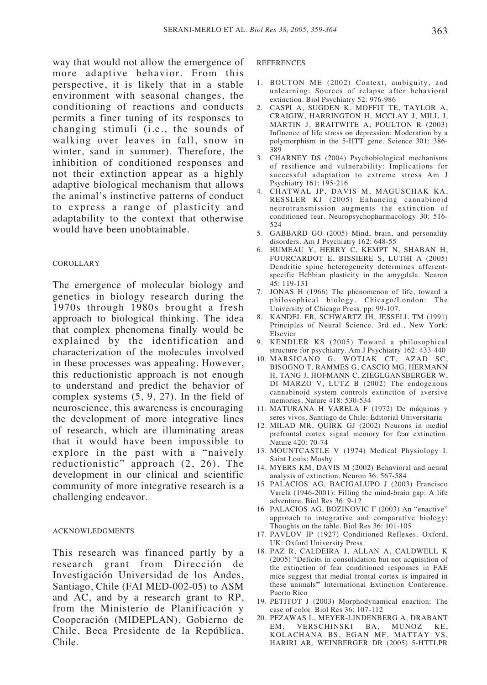way that would not allow the emergence of more adaptive behavior. From this perspective, it is likely that in a stable environment with seasonal changes, the conditioning of reactions and conducts permits a finer tuning of its responses to changing stimuli (i.e., the sounds of walking over leaves in fall, snow in winter, sand in summer). Therefore, the inhibition of conditioned responses and not their extinction appear as a highly adaptive biological mechanism that allows the animal's instinctive patterns of conduct to express a range of plasticity and adaptability to the context that otherwise would have been unobtainable.

### COROLLARY

The emergence of molecular biology and genetics in biology research during the 1970s through 1980s brought a fresh approach to biological thinking. The idea that complex phenomena finally would be explained by the identification and characterization of the molecules involved in these processes was appealing. However, this reductionistic approach is not enough to understand and predict the behavior of complex systems (5, 9, 27). In the field of neuroscience, this awareness is encouraging the development of more integrative lines of research, which are illuminating areas that it would have been impossible to explore in the past with a "naively reductionistic" approach (2, 26). The development in our clinical and scientific community of more integrative research is a challenging endeavor.

### ACKNOWLEDGMENTS

This research was financed partly by a research grant from Dirección de Investigación Universidad de los Andes, Santiago, Chile (FAI MED-002-05) to ASM and AC, and by a research grant to RP, from the Ministerio de Planificación y Cooperación (MIDEPLAN), Gobierno de Chile, Beca Presidente de la República, Chile.

#### REFERENCES

- 1. BOUTON ME (2002) Context, ambiguity, and unlearning: Sources of relapse after behavioral extinction. Biol Psychiatry 52: 976-986
- 2. CASPI A, SUGDEN K, MOFFIT TE, TAYLOR A, CRAIGIW, HARRINGTON H, MCCLAY J, MILL J, MARTIN J, BRAITWITE A, POULTON R (2003) Influence of life stress on depression: Moderation by a polymorphism in the 5-HTT gene. Science 301: 386- 389
- 3. CHARNEY DS (2004) Psychobiological mechanisms of resilience and vulnerability: Implications for successful adaptation to extreme stress Am J Psychiatry 161: 195-216
- 4. CHATWAL JP, DAVIS M, MAGUSCHAK KA, RESSLER KJ (2005) Enhancing cannabinoid neurotransmission augments the extinction of conditioned fear. Neuropsychopharmacology 30: 516- 524
- 5. GABBARD GO (2005) Mind, brain, and personality disorders. Am J Psychiatry 162: 648-55
- 6. HUMEAU Y, HERRY C, KEMPT N, SHABAN H, FOURCARDOT E, BISSIERE S, LUTHI A (2005) Dendritic spine heterogeneity determines afferentspecific Hebbian plasticity in the amygdala. Neuron 45: 119-131
- 7. JONAS H (1966) The phenomenon of life, toward a philosophical biology. Chicago/London: The University of Chicago Press. pp: 99-107.
- 8. KANDEL ER, SCHWARTZ JH, JESSELL TM (1991) Principles of Neural Science. 3rd ed., New York: Elsevier
- 9. KENDLER KS (2005) Toward a philosophical structure for psychiatry. Am J Psychiatry 162: 433-440
- 10. MARSICANO G, WOTJAK CT, AZAD SC, BISOGNO T, RAMMES G, CASCIO MG, HERMANN H, TANG J, HOFMANN C, ZIEGLGANSBERGER W, DI MARZO V, LUTZ B (2002) The endogenous cannabinoid system controls extinction of aversive memories. Nature 418: 530-534
- 11. MATURANA H VARELA F (1972) De máquinas y seres vivos. Santiago de Chile: Editorial Universitaria
- 12. MILAD MR, QUIRK GJ (2002) Neurons in medial prefrontal cortex signal memory for fear extinction. Nature 420: 70-74
- 13. MOUNTCASTLE V (1974) Medical Physiology I. Saint Louis: Mosby
- 14. MYERS KM, DAVIS M (2002) Behavioral and neural analysis of extinction. Neuron 36: 567-584
- 15 PALACIOS AG, BACIGALUPO J (2003) Francisco Varela (1946-2001): Filling the mind-brain gap: A life adventure. Biol Res 36: 9-12
- 16 PALACIOS AG, BOZINOVIC F (2003) An "enactive" approach to integrative and comparative biology: Thoughts on the table. Biol Res 36: 101-105
- 17. PAVLOV IP (1927) Conditioned Reflexes. Oxford, UK: Oxford University Press
- 18. PAZ R, CALDEIRA J, ALLAN A, CALDWELL K (2005) "Deficits in consolidation but not acquisition of the extinction of fear conditioned responses in FAE mice suggest that medial frontal cortex is impaired in these animals**"** International Extinction Conference. Puerto Rico
- 19. PETITOT J (2003) Morphodynamical enaction: The case of color. Biol Res 36: 107-112
- 20. PEZAWAS L, MEYER-LINDENBERG A, DRABANT EM, VERSCHINSKI BA, MUNOZ KE, KOLACHANA BS, EGAN MF, MATTAY VS, HARIRI AR, WEINBERGER DR (2005) 5-HTTLPR